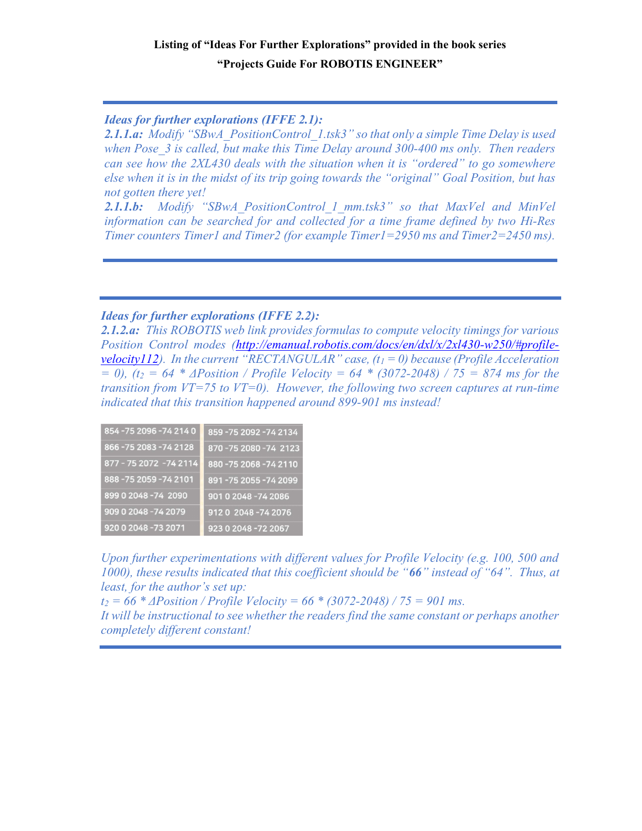# Listing of "Ideas For Further Explorations" provided in the book series "Projects Guide For ROBOTIS ENGINEER"

Ideas for further explorations (IFFE 2.1):

2.1.1.a: Modify "SBwA\_PositionControl\_1.tsk3" so that only a simple Time Delay is used when Pose 3 is called, but make this Time Delay around 300-400 ms only. Then readers can see how the 2XL430 deals with the situation when it is "ordered" to go somewhere else when it is in the midst of its trip going towards the "original" Goal Position, but has not gotten there yet!

2.1.1.b: Modify "SBwA PositionControl 1 mm.tsk3" so that MaxVel and MinVel information can be searched for and collected for a time frame defined by two Hi-Res Timer counters Timer1 and Timer2 (for example Timer1=2950 ms and Timer2=2450 ms).

# Ideas for further explorations (IFFE 2.2):

2.1.2.a: This ROBOTIS web link provides formulas to compute velocity timings for various Position Control modes (http://emanual.robotis.com/docs/en/dxl/x/2xl430-w250/#profilevelocity112). In the current "RECTANGULAR" case,  $(t_1 = 0)$  because (Profile Acceleration  $= 0$ ), (t<sub>2</sub> = 64  $*$   $\triangle$  *APosition* / Profile Velocity = 64  $*$  (3072-2048) / 75 = 874 ms for the transition from  $VT=75$  to  $VT=0$ . However, the following two screen captures at run-time indicated that this transition happened around 899-901 ms instead!

| 854-75 2096-74 214 0    | 859-75 2092-74 2134  |
|-------------------------|----------------------|
| 866-75 2083-74 2128     | 870-75 2080-74 2123  |
| 877 - 75 2072 - 74 2114 | 880-75 2068-74 2110  |
| 888-75 2059-74 2101     | 891-75 2055-74 2099  |
| 899 0 2048 -74 2090     | 901 0 2048 -74 2086  |
| 909 0 2048 -74 2079     | 9120 2048-74 2076    |
| 920 0 2048 - 73 2071    | 923 0 2048 - 72 2067 |

Upon further experimentations with different values for Profile Velocity (e.g. 100, 500 and 1000), these results indicated that this coefficient should be "66" instead of "64". Thus, at least, for the author's set up:

 $t_2 = 66 * \triangle P$  *Dosition* / Profile Velocity =  $66 * (3072 - 2048)$  /  $75 = 901$  ms.

It will be instructional to see whether the readers find the same constant or perhaps another completely different constant!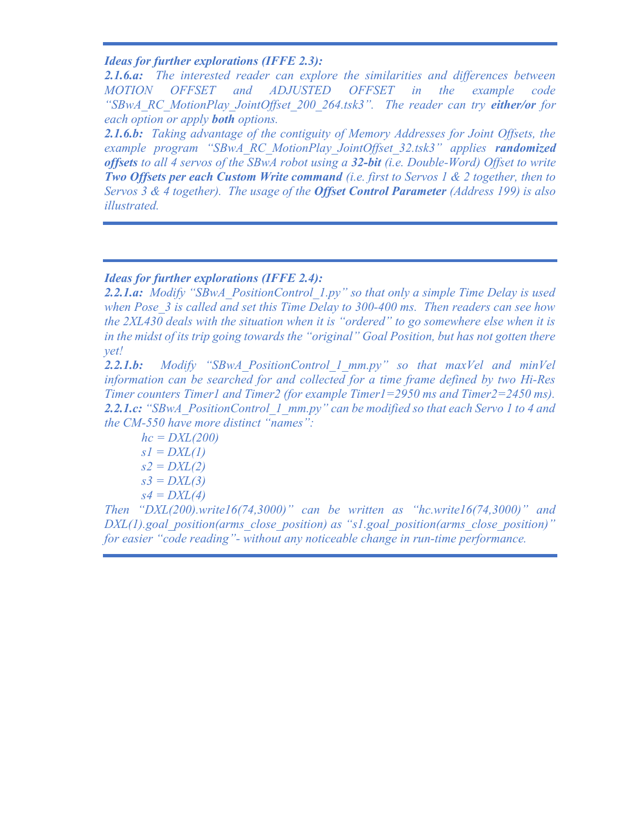# Ideas for further explorations (IFFE 2.3):

2.1.6.a: The interested reader can explore the similarities and differences between MOTION OFFSET and ADJUSTED OFFSET in the example code "SBwA\_RC\_MotionPlay\_JointOffset\_200\_264.tsk3". The reader can try either/or for each option or apply **both** options.

2.1.6.b: Taking advantage of the contiguity of Memory Addresses for Joint Offsets, the example program "SBwA RC MotionPlay JointOffset 32.tsk3" applies randomized offsets to all 4 servos of the SBwA robot using a  $32$ -bit (i.e. Double-Word) Offset to write **Two Offsets per each Custom Write command** (i.e. first to Servos 1  $\&$  2 together, then to Servos 3 & 4 together). The usage of the **Offset Control Parameter** (Address 199) is also illustrated.

# Ideas for further explorations (IFFE 2.4):

2.2.1.a: Modify "SBwA\_PositionControl\_1.py" so that only a simple Time Delay is used when Pose 3 is called and set this Time Delay to 300-400 ms. Then readers can see how the 2XL430 deals with the situation when it is "ordered" to go somewhere else when it is in the midst of its trip going towards the "original" Goal Position, but has not gotten there yet!

2.2.1.b: Modify "SBwA PositionControl 1 mm.py" so that maxVel and minVel information can be searched for and collected for a time frame defined by two Hi-Res Timer counters Timer1 and Timer2 (for example Timer1=2950 ms and Timer2=2450 ms). 2.2.1.c: "SBwA\_PositionControl\_1\_mm.py" can be modified so that each Servo 1 to 4 and the CM-550 have more distinct "names":

 $hc = DXL(200)$  $sI = DXL(1)$  $s2 = DXL(2)$  $s3 = DXL(3)$  $s4 = DXL(4)$ 

Then " $DXL(200)$ , write  $16(74,3000)$ " can be written as "hc.write  $16(74,3000)$ " and  $DXL(1)$ .goal position(arms close position) as "s1.goal position(arms close position)" for easier "code reading"- without any noticeable change in run-time performance.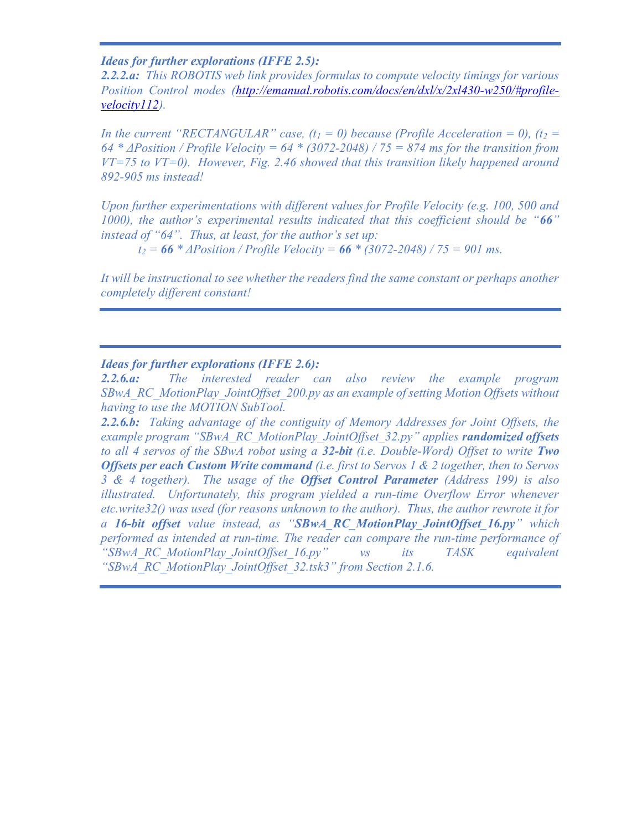#### Ideas for further explorations (IFFE 2.5):

2.2.2.a: This ROBOTIS web link provides formulas to compute velocity timings for various Position Control modes (http://emanual.robotis.com/docs/en/dxl/x/2xl430-w250/#profilevelocity112).

In the current "RECTANGULAR" case,  $(t_1 = 0)$  because (Profile Acceleration = 0),  $(t_2 = 0)$ 64 \*  $\triangle P$ osition / Profile Velocity = 64 \* (3072-2048) / 75 = 874 ms for the transition from  $VT=75$  to  $VT=0$ ). However, Fig. 2.46 showed that this transition likely happened around 892-905 ms instead!

Upon further experimentations with different values for Profile Velocity (e.g. 100, 500 and 1000), the author's experimental results indicated that this coefficient should be " $66"$ instead of "64". Thus, at least, for the author's set up:

 $t_2 = 66 * \triangle P$  *Dosition* / Profile Velocity =  $66 * (3072 - 2048)$  /  $75 = 901$  ms.

It will be instructional to see whether the readers find the same constant or perhaps another completely different constant!

#### Ideas for further explorations (IFFE 2.6):

2.2.6.a: The interested reader can also review the example program SBwA\_RC\_MotionPlay\_JointOffset\_200.py as an example of setting Motion Offsets without having to use the MOTION SubTool.

2.2.6.b: Taking advantage of the contiguity of Memory Addresses for Joint Offsets, the example program "SBwA\_RC\_MotionPlay\_JointOffset\_32.py" applies randomized offsets to all 4 servos of the SBwA robot using a 32-bit (i.e. Double-Word) Offset to write Two Offsets per each Custom Write command (i.e. first to Servos 1  $\&$  2 together, then to Servos 3 & 4 together). The usage of the **Offset Control Parameter** (Address 199) is also illustrated. Unfortunately, this program yielded a run-time Overflow Error whenever etc.write32() was used (for reasons unknown to the author). Thus, the author rewrote it for a 16-bit offset value instead, as "SBwA RC MotionPlay JointOffset 16.py" which performed as intended at run-time. The reader can compare the run-time performance of "SBwA\_RC\_MotionPlay\_JointOffset\_16.py" vs its TASK equivalent "SBwA\_RC\_MotionPlay\_JointOffset\_32.tsk3" from Section 2.1.6.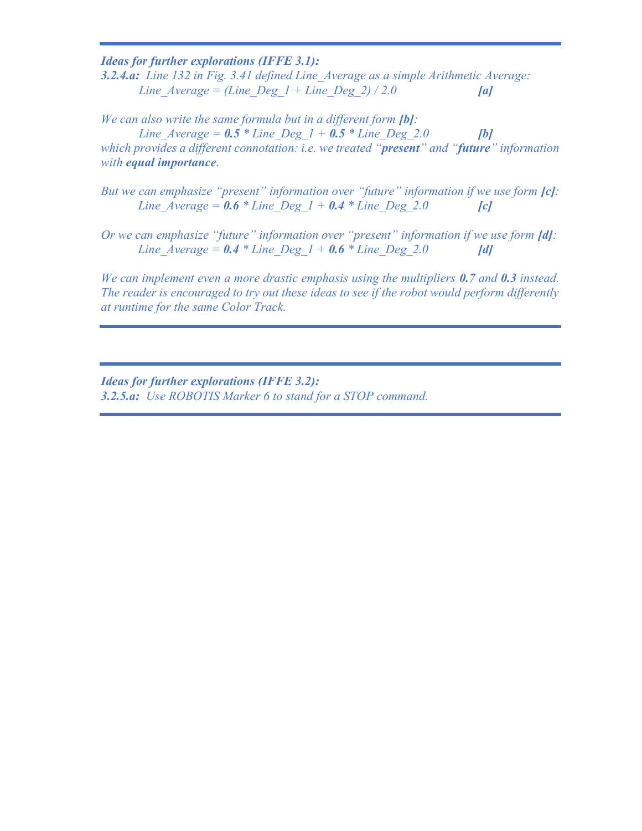Ideas for further explorations (IFFE 3.1):

3.2.4.a: Line 132 in Fig. 3.41 defined Line Average as a simple Arithmetic Average: Line  $Average = (Line Deg 1 + Line Deg 2) / 2.0$  [a]

We can also write the same formula but in a different form [b]: Line Average =  $0.5 *$  Line Deg  $1 + 0.5 *$  Line Deg 2.0 [b] which provides a different connotation: *i.e.* we treated "**present**" and "**future**" information with **equal importance**.

But we can emphasize "present" information over "future" information if we use form [c]: Line Average =  $0.6 *$  Line Deg  $1 + 0.4 *$  Line Deg 2.0 [c]

Or we can emphasize "future" information over "present" information if we use form [d]: Line Average =  $0.4 *$  Line Deg  $1 + 0.6 *$  Line Deg 2.0 [d]

We can implement even a more drastic emphasis using the multipliers 0.7 and 0.3 instead. The reader is encouraged to try out these ideas to see if the robot would perform differently at runtime for the same Color Track.

Ideas for further explorations (IFFE 3.2): 3.2.5.a: Use ROBOTIS Marker 6 to stand for a STOP command.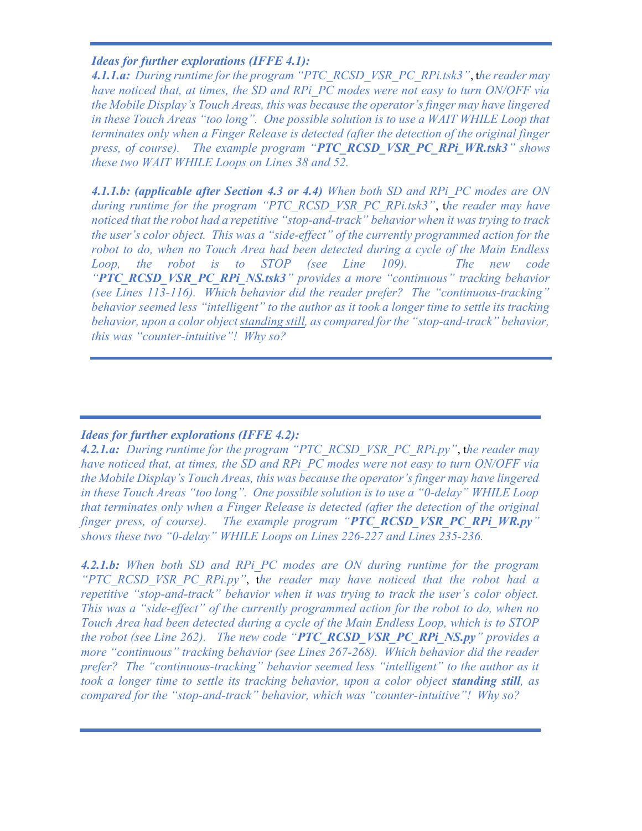#### Ideas for further explorations (IFFE 4.1):

4.1.1.a: During runtime for the program "PTC\_RCSD\_VSR\_PC\_RPi.tsk3", the reader may have noticed that, at times, the SD and RPi\_PC modes were not easy to turn ON/OFF via the Mobile Display's Touch Areas, this was because the operator's finger may have lingered in these Touch Areas "too long". One possible solution is to use a WAIT WHILE Loop that terminates only when a Finger Release is detected (after the detection of the original finger press, of course). The example program "PTC\_RCSD\_VSR\_PC\_RPi\_WR.tsk3" shows these two WAIT WHILE Loops on Lines 38 and 52.

4.1.1.b: (applicable after Section 4.3 or 4.4) When both SD and RPi PC modes are ON during runtime for the program "PTC\_RCSD\_VSR\_PC\_RPi.tsk3", the reader may have noticed that the robot had a repetitive "stop-and-track" behavior when it was trying to track the user's color object. This was a "side-effect" of the currently programmed action for the robot to do, when no Touch Area had been detected during a cycle of the Main Endless Loop, the robot is to STOP (see Line 109). The new code "PTC\_RCSD\_VSR\_PC\_RPi\_NS.tsk3" provides a more "continuous" tracking behavior (see Lines 113-116). Which behavior did the reader prefer? The "continuous-tracking" behavior seemed less "intelligent" to the author as it took a longer time to settle its tracking behavior, upon a color object standing still, as compared for the "stop-and-track" behavior, this was "counter-intuitive"! Why so?

# Ideas for further explorations (IFFE 4.2):

4.2.1.a: During runtime for the program "PTC\_RCSD\_VSR\_PC\_RPi.py", the reader may have noticed that, at times, the SD and RPi PC modes were not easy to turn ON/OFF via the Mobile Display's Touch Areas, this was because the operator's finger may have lingered in these Touch Areas "too long". One possible solution is to use a "0-delay" WHILE Loop that terminates only when a Finger Release is detected (after the detection of the original finger press, of course). The example program "PTC RCSD VSR PC RPi WR.py" shows these two "0-delay" WHILE Loops on Lines 226-227 and Lines 235-236.

4.2.1.b: When both SD and RPi PC modes are ON during runtime for the program "PTC RCSD VSR PC RPi.py", the reader may have noticed that the robot had a repetitive "stop-and-track" behavior when it was trying to track the user's color object. This was a "side-effect" of the currently programmed action for the robot to do, when no Touch Area had been detected during a cycle of the Main Endless Loop, which is to STOP the robot (see Line 262). The new code "PTC RCSD VSR PC RPi NS.py" provides a more "continuous" tracking behavior (see Lines 267-268). Which behavior did the reader prefer? The "continuous-tracking" behavior seemed less "intelligent" to the author as it took a longer time to settle its tracking behavior, upon a color object **standing still**, as compared for the "stop-and-track" behavior, which was "counter-intuitive"! Why so?